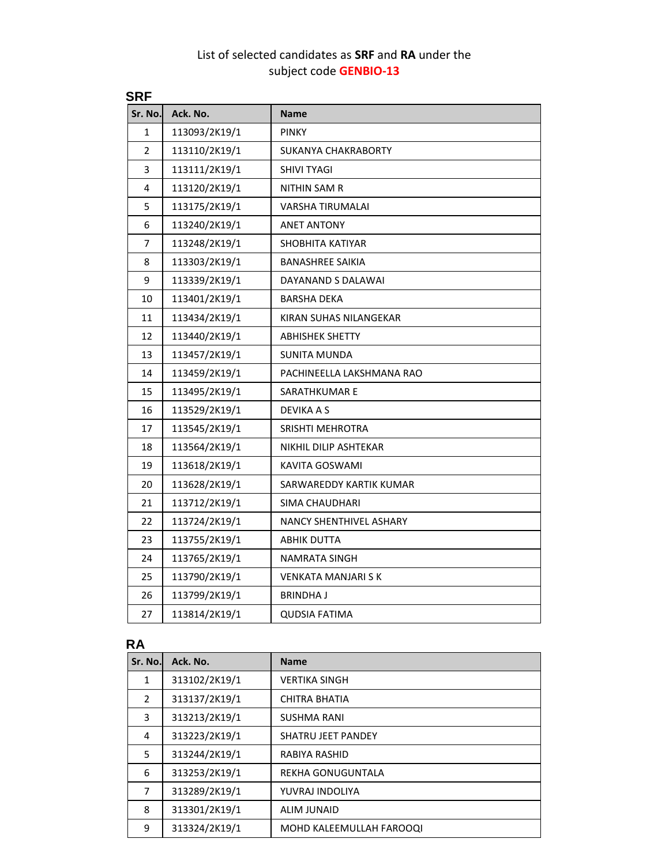## List of selected candidates as **SRF** and **RA** under the subject code **GENBIO-13**

| <b>SRF</b>    |                            |  |  |
|---------------|----------------------------|--|--|
| Ack. No.      | <b>Name</b>                |  |  |
| 113093/2K19/1 | <b>PINKY</b>               |  |  |
| 113110/2K19/1 | <b>SUKANYA CHAKRABORTY</b> |  |  |
| 113111/2K19/1 | <b>SHIVI TYAGI</b>         |  |  |
| 113120/2K19/1 | NITHIN SAM R               |  |  |
| 113175/2K19/1 | VARSHA TIRUMALAI           |  |  |
| 113240/2K19/1 | <b>ANET ANTONY</b>         |  |  |
| 113248/2K19/1 | SHOBHITA KATIYAR           |  |  |
| 113303/2K19/1 | <b>BANASHREE SAIKIA</b>    |  |  |
| 113339/2K19/1 | DAYANAND S DALAWAI         |  |  |
| 113401/2K19/1 | <b>BARSHA DEKA</b>         |  |  |
| 113434/2K19/1 | KIRAN SUHAS NILANGEKAR     |  |  |
| 113440/2K19/1 | <b>ABHISHEK SHETTY</b>     |  |  |
| 113457/2K19/1 | SUNITA MUNDA               |  |  |
| 113459/2K19/1 | PACHINEELLA LAKSHMANA RAO  |  |  |
| 113495/2K19/1 | SARATHKUMAR E              |  |  |
| 113529/2K19/1 | DEVIKA A S                 |  |  |
| 113545/2K19/1 | SRISHTI MEHROTRA           |  |  |
| 113564/2K19/1 | NIKHIL DILIP ASHTEKAR      |  |  |
| 113618/2K19/1 | KAVITA GOSWAMI             |  |  |
| 113628/2K19/1 | SARWAREDDY KARTIK KUMAR    |  |  |
| 113712/2K19/1 | SIMA CHAUDHARI             |  |  |
| 113724/2K19/1 | NANCY SHENTHIVEL ASHARY    |  |  |
| 113755/2K19/1 | ABHIK DUTTA                |  |  |
| 113765/2K19/1 | <b>NAMRATA SINGH</b>       |  |  |
| 113790/2K19/1 | <b>VENKATA MANJARI S K</b> |  |  |
| 113799/2K19/1 | <b>BRINDHAJ</b>            |  |  |
| 113814/2K19/1 | QUDSIA FATIMA              |  |  |
|               |                            |  |  |

## **RA**

| Sr. No. | Ack. No.      | <b>Name</b>               |
|---------|---------------|---------------------------|
| 1       | 313102/2K19/1 | <b>VERTIKA SINGH</b>      |
| 2       | 313137/2K19/1 | CHITRA BHATIA             |
| 3       | 313213/2K19/1 | <b>SUSHMA RANI</b>        |
| 4       | 313223/2K19/1 | <b>SHATRU JEET PANDEY</b> |
| 5       | 313244/2K19/1 | RABIYA RASHID             |
| 6       | 313253/2K19/1 | REKHA GONUGUNTALA         |
| 7       | 313289/2K19/1 | YUVRAJ INDOLIYA           |
| 8       | 313301/2K19/1 | <b>ALIM JUNAID</b>        |
| 9       | 313324/2K19/1 | MOHD KALEEMULLAH FAROOQI  |